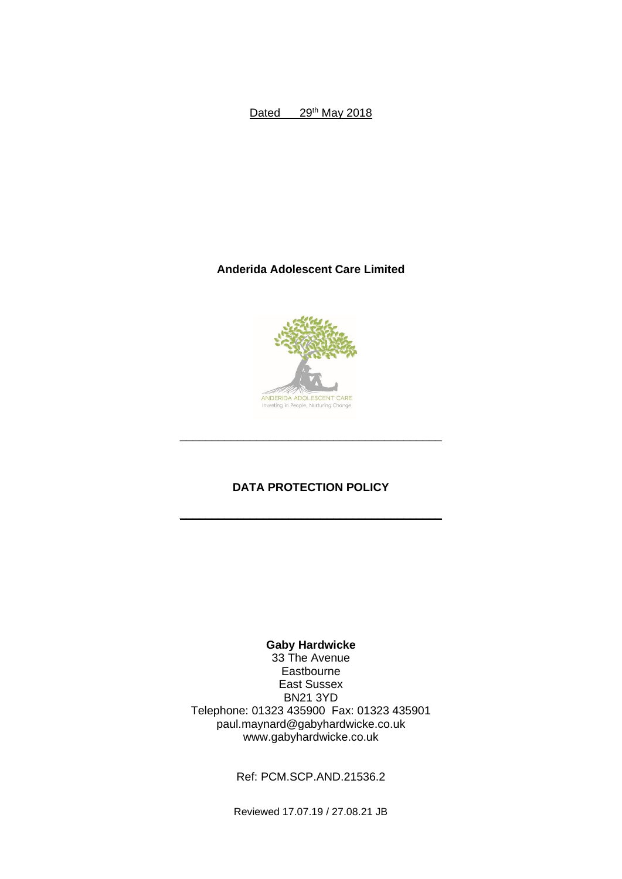Dated 29<sup>th</sup> May 2018

## **Anderida Adolescent Care Limited**



# **DATA PROTECTION POLICY**

\_\_\_\_\_\_\_\_\_\_\_\_\_\_\_\_\_\_\_\_\_\_\_\_\_\_\_\_\_\_\_\_\_\_\_\_\_\_\_\_\_

 $\mathcal{L}_\text{max}$  and  $\mathcal{L}_\text{max}$  and  $\mathcal{L}_\text{max}$  and  $\mathcal{L}_\text{max}$ 

### **Gaby Hardwicke**

33 The Avenue Eastbourne East Sussex BN21 3YD Telephone: 01323 435900 Fax: 01323 435901 paul.maynard@gabyhardwicke.co.uk www.gabyhardwicke.co.uk

Ref: PCM.SCP.AND.21536.2

Reviewed 17.07.19 / 27.08.21 JB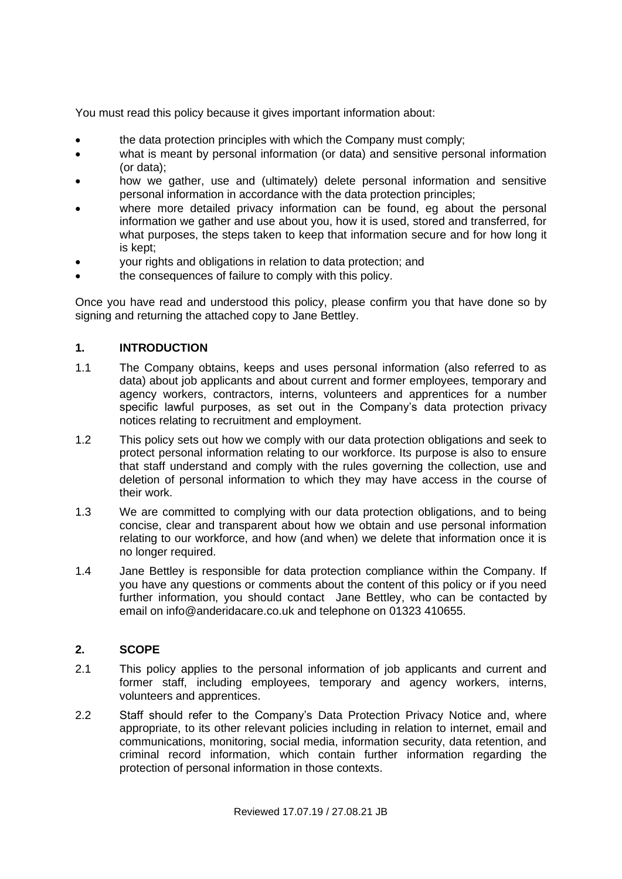You must read this policy because it gives important information about:

- the data protection principles with which the Company must comply;
- what is meant by personal information (or data) and sensitive personal information (or data);
- how we gather, use and (ultimately) delete personal information and sensitive personal information in accordance with the data protection principles;
- where more detailed privacy information can be found, eq about the personal information we gather and use about you, how it is used, stored and transferred, for what purposes, the steps taken to keep that information secure and for how long it is kept;
- your rights and obligations in relation to data protection; and
- the consequences of failure to comply with this policy.

Once you have read and understood this policy, please confirm you that have done so by signing and returning the attached copy to Jane Bettley.

### **1. INTRODUCTION**

- 1.1 The Company obtains, keeps and uses personal information (also referred to as data) about job applicants and about current and former employees, temporary and agency workers, contractors, interns, volunteers and apprentices for a number specific lawful purposes, as set out in the Company's data protection privacy notices relating to recruitment and employment.
- 1.2 This policy sets out how we comply with our data protection obligations and seek to protect personal information relating to our workforce. Its purpose is also to ensure that staff understand and comply with the rules governing the collection, use and deletion of personal information to which they may have access in the course of their work.
- 1.3 We are committed to complying with our data protection obligations, and to being concise, clear and transparent about how we obtain and use personal information relating to our workforce, and how (and when) we delete that information once it is no longer required.
- 1.4 Jane Bettley is responsible for data protection compliance within the Company. If you have any questions or comments about the content of this policy or if you need further information, you should contact Jane Bettley, who can be contacted by email on [info@anderidacare.co.uk](mailto:info@anderidacare.co.uk) and telephone on 01323 410655.

#### **2. SCOPE**

- 2.1 This policy applies to the personal information of job applicants and current and former staff, including employees, temporary and agency workers, interns, volunteers and apprentices.
- 2.2 Staff should refer to the Company's Data Protection Privacy Notice and, where appropriate, to its other relevant policies including in relation to internet, email and communications, monitoring, social media, information security, data retention, and criminal record information, which contain further information regarding the protection of personal information in those contexts.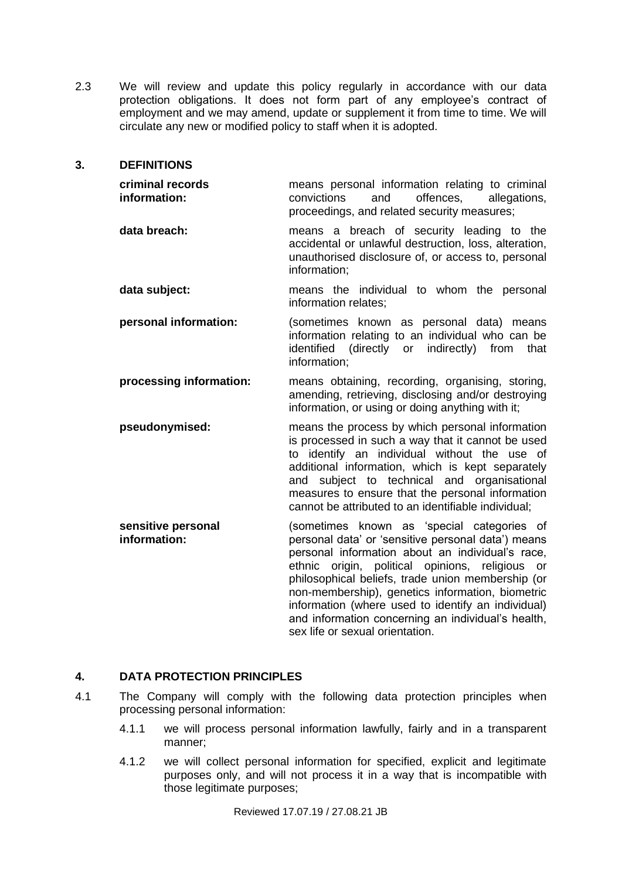2.3 We will review and update this policy regularly in accordance with our data protection obligations. It does not form part of any employee's contract of employment and we may amend, update or supplement it from time to time. We will circulate any new or modified policy to staff when it is adopted.

#### **3. DEFINITIONS**

| criminal records<br>information:   | means personal information relating to criminal<br>convictions<br>offences,<br>and<br>allegations,<br>proceedings, and related security measures;                                                                                                                                                                                                                  |
|------------------------------------|--------------------------------------------------------------------------------------------------------------------------------------------------------------------------------------------------------------------------------------------------------------------------------------------------------------------------------------------------------------------|
| data breach:                       | means a breach of security leading to the<br>accidental or unlawful destruction, loss, alteration,<br>unauthorised disclosure of, or access to, personal<br>information;                                                                                                                                                                                           |
| data subject:                      | means the individual to whom the personal<br>information relates;                                                                                                                                                                                                                                                                                                  |
| personal information:              | (sometimes known as personal data) means<br>information relating to an individual who can be<br>identified (directly or indirectly) from that<br>information;                                                                                                                                                                                                      |
| processing information:            | means obtaining, recording, organising, storing,<br>amending, retrieving, disclosing and/or destroying<br>information, or using or doing anything with it;                                                                                                                                                                                                         |
| pseudonymised:                     | means the process by which personal information<br>is processed in such a way that it cannot be used<br>to identify an individual without the use of<br>additional information, which is kept separately<br>and subject to technical and organisational<br>measures to ensure that the personal information<br>cannot be attributed to an identifiable individual; |
| sensitive personal<br>information: | (sometimes known as 'special categories of<br>personal data' or 'sensitive personal data') means<br>personal information about an individual's race,<br>ethnic origin, political opinions, religious<br>or<br>philosophical beliefs, trade union membership (or<br>non-membership), genetics information, biometric                                                |

#### **4. DATA PROTECTION PRINCIPLES**

- 4.1 The Company will comply with the following data protection principles when processing personal information:
	- 4.1.1 we will process personal information lawfully, fairly and in a transparent manner;

<span id="page-2-1"></span><span id="page-2-0"></span>sex life or sexual orientation.

information (where used to identify an individual) and information concerning an individual's health,

4.1.2 we will collect personal information for specified, explicit and legitimate purposes only, and will not process it in a way that is incompatible with those legitimate purposes;

Reviewed 17.07.19 / 27.08.21 JB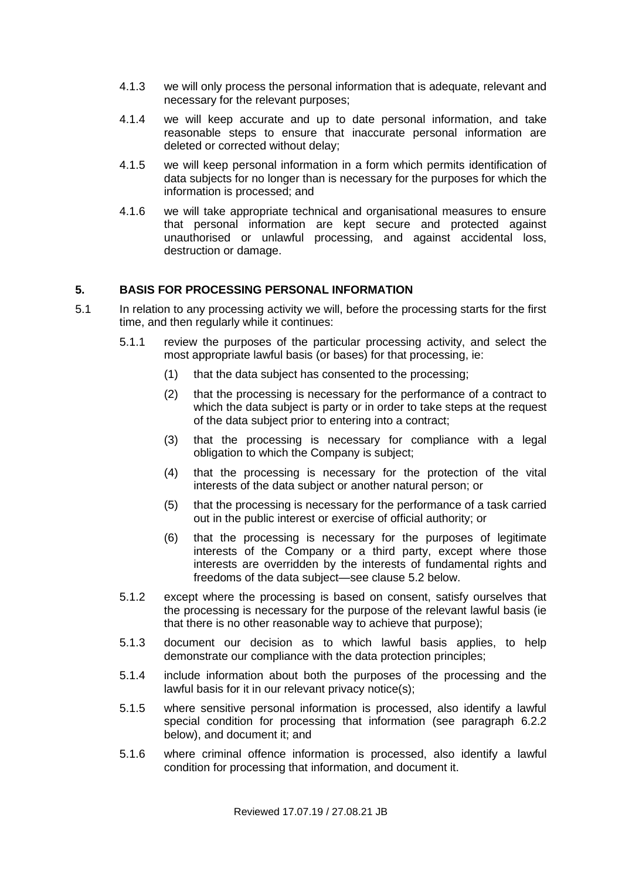- 4.1.3 we will only process the personal information that is adequate, relevant and necessary for the relevant purposes;
- 4.1.4 we will keep accurate and up to date personal information, and take reasonable steps to ensure that inaccurate personal information are deleted or corrected without delay;
- 4.1.5 we will keep personal information in a form which permits identification of data subjects for no longer than is necessary for the purposes for which the information is processed; and
- <span id="page-3-0"></span>4.1.6 we will take appropriate technical and organisational measures to ensure that personal information are kept secure and protected against unauthorised or unlawful processing, and against accidental loss, destruction or damage.

## **5. BASIS FOR PROCESSING PERSONAL INFORMATION**

- 5.1 In relation to any processing activity we will, before the processing starts for the first time, and then regularly while it continues:
	- 5.1.1 review the purposes of the particular processing activity, and select the most appropriate lawful basis (or bases) for that processing, ie:
		- (1) that the data subject has consented to the processing;
		- (2) that the processing is necessary for the performance of a contract to which the data subject is party or in order to take steps at the request of the data subject prior to entering into a contract;
		- (3) that the processing is necessary for compliance with a legal obligation to which the Company is subject;
		- (4) that the processing is necessary for the protection of the vital interests of the data subject or another natural person; or
		- (5) that the processing is necessary for the performance of a task carried out in the public interest or exercise of official authority; or
		- (6) that the processing is necessary for the purposes of legitimate interests of the Company or a third party, except where those interests are overridden by the interests of fundamental rights and freedoms of the data subject—see clause [5.2](#page-4-0) below.
	- 5.1.2 except where the processing is based on consent, satisfy ourselves that the processing is necessary for the purpose of the relevant lawful basis (ie that there is no other reasonable way to achieve that purpose);
	- 5.1.3 document our decision as to which lawful basis applies, to help demonstrate our compliance with the data protection principles;
	- 5.1.4 include information about both the purposes of the processing and the lawful basis for it in our relevant privacy notice(s);
	- 5.1.5 where sensitive personal information is processed, also identify a lawful special condition for processing that information (see paragraph [6.2.2](#page-4-1) below), and document it; and
	- 5.1.6 where criminal offence information is processed, also identify a lawful condition for processing that information, and document it.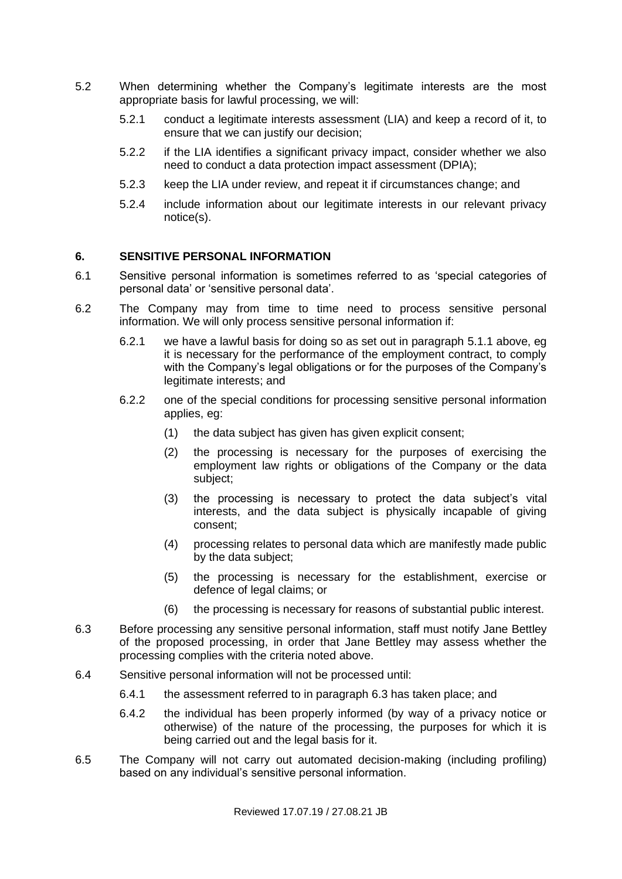- <span id="page-4-0"></span>5.2 When determining whether the Company's legitimate interests are the most appropriate basis for lawful processing, we will:
	- 5.2.1 conduct a legitimate interests assessment (LIA) and keep a record of it, to ensure that we can justify our decision;
	- 5.2.2 if the LIA identifies a significant privacy impact, consider whether we also need to conduct a data protection impact assessment (DPIA);
	- 5.2.3 keep the LIA under review, and repeat it if circumstances change; and
	- 5.2.4 include information about our legitimate interests in our relevant privacy notice(s).

#### **6. SENSITIVE PERSONAL INFORMATION**

- 6.1 Sensitive personal information is sometimes referred to as 'special categories of personal data' or 'sensitive personal data'.
- <span id="page-4-1"></span>6.2 The Company may from time to time need to process sensitive personal information. We will only process sensitive personal information if:
	- 6.2.1 we have a lawful basis for doing so as set out in paragraph [5.1.1](#page-3-0) above, eg it is necessary for the performance of the employment contract, to comply with the Company's legal obligations or for the purposes of the Company's legitimate interests; and
	- 6.2.2 one of the special conditions for processing sensitive personal information applies, eg:
		- (1) the data subject has given has given explicit consent;
		- (2) the processing is necessary for the purposes of exercising the employment law rights or obligations of the Company or the data subject;
		- (3) the processing is necessary to protect the data subject's vital interests, and the data subject is physically incapable of giving consent;
		- (4) processing relates to personal data which are manifestly made public by the data subject;
		- (5) the processing is necessary for the establishment, exercise or defence of legal claims; or
		- (6) the processing is necessary for reasons of substantial public interest.
- 6.3 Before processing any sensitive personal information, staff must notify Jane Bettley of the proposed processing, in order that Jane Bettley may assess whether the processing complies with the criteria noted above.
- <span id="page-4-2"></span>6.4 Sensitive personal information will not be processed until:
	- 6.4.1 the assessment referred to in paragraph [6.3](#page-4-2) has taken place; and
	- 6.4.2 the individual has been properly informed (by way of a privacy notice or otherwise) of the nature of the processing, the purposes for which it is being carried out and the legal basis for it.
- 6.5 The Company will not carry out automated decision-making (including profiling) based on any individual's sensitive personal information.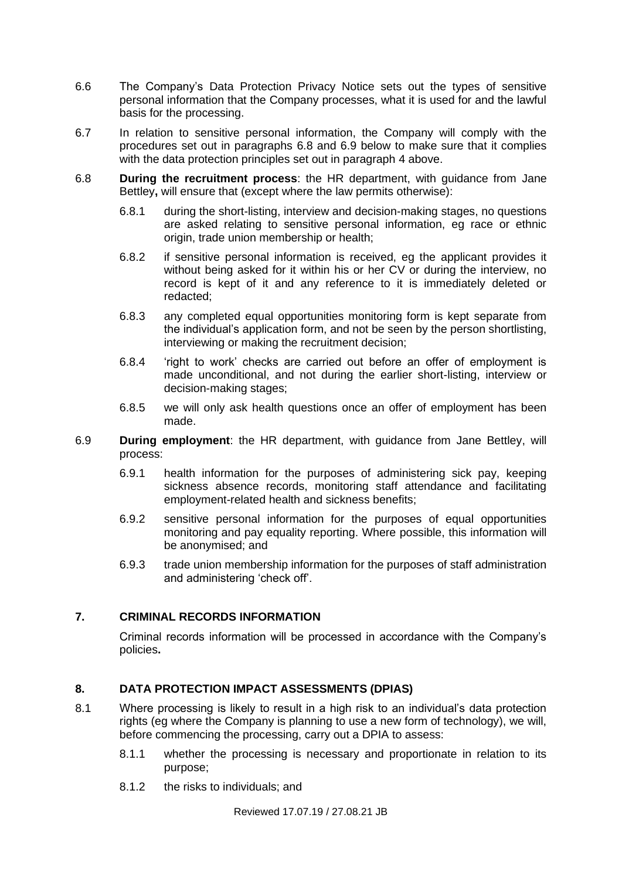- 6.6 The Company's Data Protection Privacy Notice sets out the types of sensitive personal information that the Company processes, what it is used for and the lawful basis for the processing.
- 6.7 In relation to sensitive personal information, the Company will comply with the procedures set out in paragraphs [6.8](#page-5-0) and [6.9](#page-5-1) below to make sure that it complies with the data protection principles set out in paragraph [4](#page-2-0) above.
- <span id="page-5-0"></span>6.8 **During the recruitment process**: the HR department, with guidance from Jane Bettley**,** will ensure that (except where the law permits otherwise):
	- 6.8.1 during the short-listing, interview and decision-making stages, no questions are asked relating to sensitive personal information, eg race or ethnic origin, trade union membership or health;
	- 6.8.2 if sensitive personal information is received, eg the applicant provides it without being asked for it within his or her CV or during the interview, no record is kept of it and any reference to it is immediately deleted or redacted;
	- 6.8.3 any completed equal opportunities monitoring form is kept separate from the individual's application form, and not be seen by the person shortlisting, interviewing or making the recruitment decision;
	- 6.8.4 'right to work' checks are carried out before an offer of employment is made unconditional, and not during the earlier short-listing, interview or decision-making stages;
	- 6.8.5 we will only ask health questions once an offer of employment has been made.
- <span id="page-5-1"></span>6.9 **During employment**: the HR department, with guidance from Jane Bettley, will process:
	- 6.9.1 health information for the purposes of administering sick pay, keeping sickness absence records, monitoring staff attendance and facilitating employment-related health and sickness benefits;
	- 6.9.2 sensitive personal information for the purposes of equal opportunities monitoring and pay equality reporting. Where possible, this information will be anonymised; and
	- 6.9.3 trade union membership information for the purposes of staff administration and administering 'check off'.

## **7. CRIMINAL RECORDS INFORMATION**

Criminal records information will be processed in accordance with the Company's policies**.**

#### **8. DATA PROTECTION IMPACT ASSESSMENTS (DPIAS)**

- 8.1 Where processing is likely to result in a high risk to an individual's data protection rights (eg where the Company is planning to use a new form of technology), we will, before commencing the processing, carry out a DPIA to assess:
	- 8.1.1 whether the processing is necessary and proportionate in relation to its purpose;
	- 8.1.2 the risks to individuals; and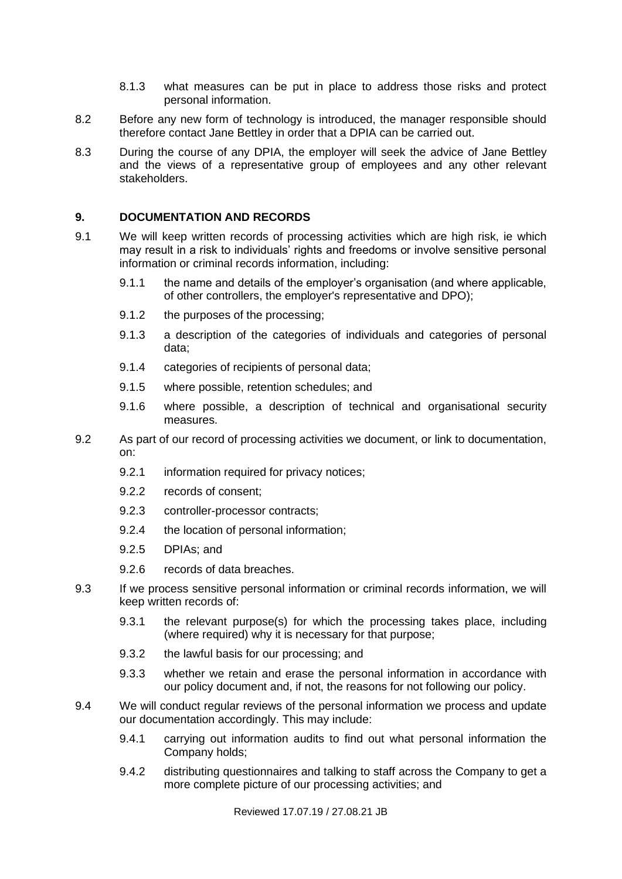- 8.1.3 what measures can be put in place to address those risks and protect personal information.
- 8.2 Before any new form of technology is introduced, the manager responsible should therefore contact Jane Bettley in order that a DPIA can be carried out.
- 8.3 During the course of any DPIA, the employer will seek the advice of Jane Bettley and the views of a representative group of employees and any other relevant stakeholders.

#### **9. DOCUMENTATION AND RECORDS**

- 9.1 We will keep written records of processing activities which are high risk, ie which may result in a risk to individuals' rights and freedoms or involve sensitive personal information or criminal records information, including:
	- 9.1.1 the name and details of the employer's organisation (and where applicable, of other controllers, the employer's representative and DPO);
	- 9.1.2 the purposes of the processing;
	- 9.1.3 a description of the categories of individuals and categories of personal data;
	- 9.1.4 categories of recipients of personal data;
	- 9.1.5 where possible, retention schedules; and
	- 9.1.6 where possible, a description of technical and organisational security measures.
- 9.2 As part of our record of processing activities we document, or link to documentation, on:
	- 9.2.1 information required for privacy notices;
	- 9.2.2 records of consent;
	- 9.2.3 controller-processor contracts;
	- 9.2.4 the location of personal information;
	- 9.2.5 DPIAs; and
	- 9.2.6 records of data breaches.
- 9.3 If we process sensitive personal information or criminal records information, we will keep written records of:
	- 9.3.1 the relevant purpose(s) for which the processing takes place, including (where required) why it is necessary for that purpose;
	- 9.3.2 the lawful basis for our processing; and
	- 9.3.3 whether we retain and erase the personal information in accordance with our policy document and, if not, the reasons for not following our policy.
- 9.4 We will conduct regular reviews of the personal information we process and update our documentation accordingly. This may include:
	- 9.4.1 carrying out information audits to find out what personal information the Company holds;
	- 9.4.2 distributing questionnaires and talking to staff across the Company to get a more complete picture of our processing activities; and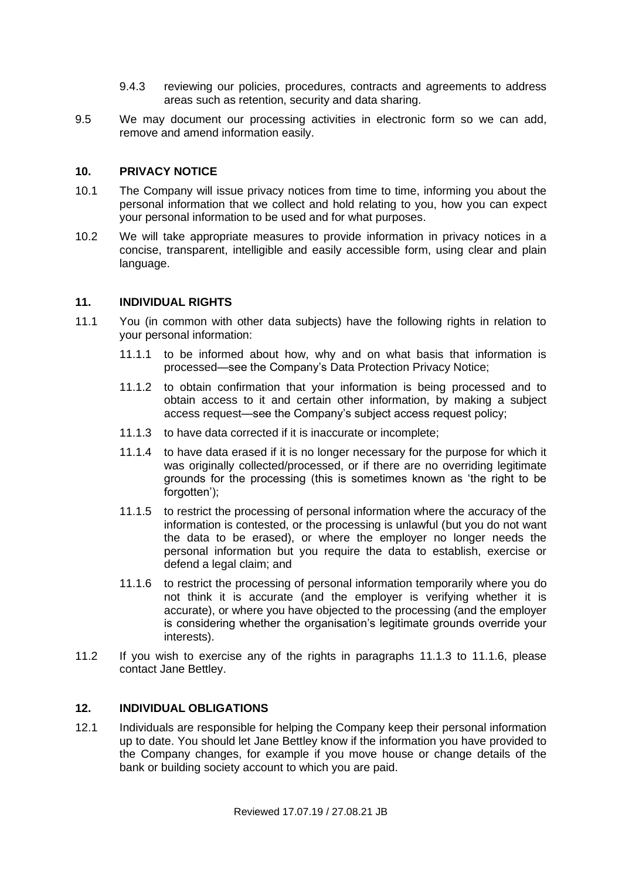- 9.4.3 reviewing our policies, procedures, contracts and agreements to address areas such as retention, security and data sharing.
- 9.5 We may document our processing activities in electronic form so we can add, remove and amend information easily.

#### **10. PRIVACY NOTICE**

- 10.1 The Company will issue privacy notices from time to time, informing you about the personal information that we collect and hold relating to you, how you can expect your personal information to be used and for what purposes.
- 10.2 We will take appropriate measures to provide information in privacy notices in a concise, transparent, intelligible and easily accessible form, using clear and plain language.

#### **11. INDIVIDUAL RIGHTS**

- <span id="page-7-2"></span><span id="page-7-0"></span>11.1 You (in common with other data subjects) have the following rights in relation to your personal information:
	- 11.1.1 to be informed about how, why and on what basis that information is processed—see the Company's Data Protection Privacy Notice;
	- 11.1.2 to obtain confirmation that your information is being processed and to obtain access to it and certain other information, by making a subject access request—see the Company's subject access request policy;
	- 11.1.3 to have data corrected if it is inaccurate or incomplete;
	- 11.1.4 to have data erased if it is no longer necessary for the purpose for which it was originally collected/processed, or if there are no overriding legitimate grounds for the processing (this is sometimes known as 'the right to be forgotten');
	- 11.1.5 to restrict the processing of personal information where the accuracy of the information is contested, or the processing is unlawful (but you do not want the data to be erased), or where the employer no longer needs the personal information but you require the data to establish, exercise or defend a legal claim; and
	- 11.1.6 to restrict the processing of personal information temporarily where you do not think it is accurate (and the employer is verifying whether it is accurate), or where you have objected to the processing (and the employer is considering whether the organisation's legitimate grounds override your interests).
- <span id="page-7-1"></span>11.2 If you wish to exercise any of the rights in paragraphs [11.1.3](#page-7-0) to [11.1.6,](#page-7-1) please contact Jane Bettley.

#### **12. INDIVIDUAL OBLIGATIONS**

12.1 Individuals are responsible for helping the Company keep their personal information up to date. You should let Jane Bettley know if the information you have provided to the Company changes, for example if you move house or change details of the bank or building society account to which you are paid.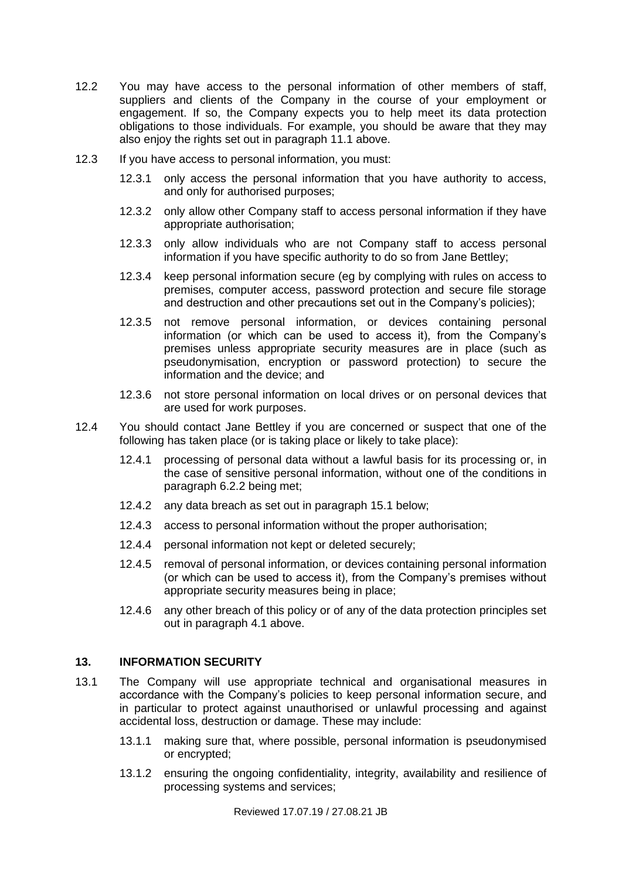- 12.2 You may have access to the personal information of other members of staff, suppliers and clients of the Company in the course of your employment or engagement. If so, the Company expects you to help meet its data protection obligations to those individuals. For example, you should be aware that they may also enjoy the rights set out in paragraph [11.1](#page-7-2) above.
- 12.3 If you have access to personal information, you must:
	- 12.3.1 only access the personal information that you have authority to access, and only for authorised purposes;
	- 12.3.2 only allow other Company staff to access personal information if they have appropriate authorisation;
	- 12.3.3 only allow individuals who are not Company staff to access personal information if you have specific authority to do so from Jane Bettley;
	- 12.3.4 keep personal information secure (eg by complying with rules on access to premises, computer access, password protection and secure file storage and destruction and other precautions set out in the Company's policies);
	- 12.3.5 not remove personal information, or devices containing personal information (or which can be used to access it), from the Company's premises unless appropriate security measures are in place (such as pseudonymisation, encryption or password protection) to secure the information and the device; and
	- 12.3.6 not store personal information on local drives or on personal devices that are used for work purposes.
- 12.4 You should contact Jane Bettley if you are concerned or suspect that one of the following has taken place (or is taking place or likely to take place):
	- 12.4.1 processing of personal data without a lawful basis for its processing or, in the case of sensitive personal information, without one of the conditions in paragraph [6.2.2](#page-4-1) being met;
	- 12.4.2 any data breach as set out in paragraph [15.1](#page-10-0) below;
	- 12.4.3 access to personal information without the proper authorisation;
	- 12.4.4 personal information not kept or deleted securely;
	- 12.4.5 removal of personal information, or devices containing personal information (or which can be used to access it), from the Company's premises without appropriate security measures being in place;
	- 12.4.6 any other breach of this policy or of any of the data protection principles set out in paragraph [4.1](#page-2-1) above.

#### **13. INFORMATION SECURITY**

- 13.1 The Company will use appropriate technical and organisational measures in accordance with the Company's policies to keep personal information secure, and in particular to protect against unauthorised or unlawful processing and against accidental loss, destruction or damage. These may include:
	- 13.1.1 making sure that, where possible, personal information is pseudonymised or encrypted;
	- 13.1.2 ensuring the ongoing confidentiality, integrity, availability and resilience of processing systems and services;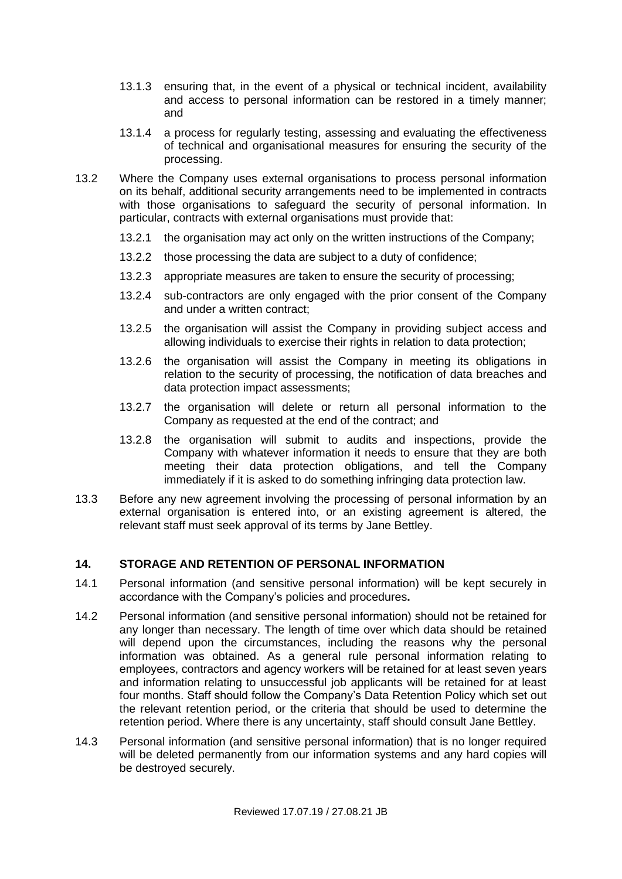- 13.1.3 ensuring that, in the event of a physical or technical incident, availability and access to personal information can be restored in a timely manner; and
- 13.1.4 a process for regularly testing, assessing and evaluating the effectiveness of technical and organisational measures for ensuring the security of the processing.
- 13.2 Where the Company uses external organisations to process personal information on its behalf, additional security arrangements need to be implemented in contracts with those organisations to safeguard the security of personal information. In particular, contracts with external organisations must provide that:
	- 13.2.1 the organisation may act only on the written instructions of the Company;
	- 13.2.2 those processing the data are subject to a duty of confidence;
	- 13.2.3 appropriate measures are taken to ensure the security of processing;
	- 13.2.4 sub-contractors are only engaged with the prior consent of the Company and under a written contract;
	- 13.2.5 the organisation will assist the Company in providing subject access and allowing individuals to exercise their rights in relation to data protection;
	- 13.2.6 the organisation will assist the Company in meeting its obligations in relation to the security of processing, the notification of data breaches and data protection impact assessments;
	- 13.2.7 the organisation will delete or return all personal information to the Company as requested at the end of the contract; and
	- 13.2.8 the organisation will submit to audits and inspections, provide the Company with whatever information it needs to ensure that they are both meeting their data protection obligations, and tell the Company immediately if it is asked to do something infringing data protection law.
- 13.3 Before any new agreement involving the processing of personal information by an external organisation is entered into, or an existing agreement is altered, the relevant staff must seek approval of its terms by Jane Bettley.

## **14. STORAGE AND RETENTION OF PERSONAL INFORMATION**

- 14.1 Personal information (and sensitive personal information) will be kept securely in accordance with the Company's policies and procedures**.**
- 14.2 Personal information (and sensitive personal information) should not be retained for any longer than necessary. The length of time over which data should be retained will depend upon the circumstances, including the reasons why the personal information was obtained. As a general rule personal information relating to employees, contractors and agency workers will be retained for at least seven years and information relating to unsuccessful job applicants will be retained for at least four months. Staff should follow the Company's Data Retention Policy which set out the relevant retention period, or the criteria that should be used to determine the retention period. Where there is any uncertainty, staff should consult Jane Bettley.
- 14.3 Personal information (and sensitive personal information) that is no longer required will be deleted permanently from our information systems and any hard copies will be destroyed securely.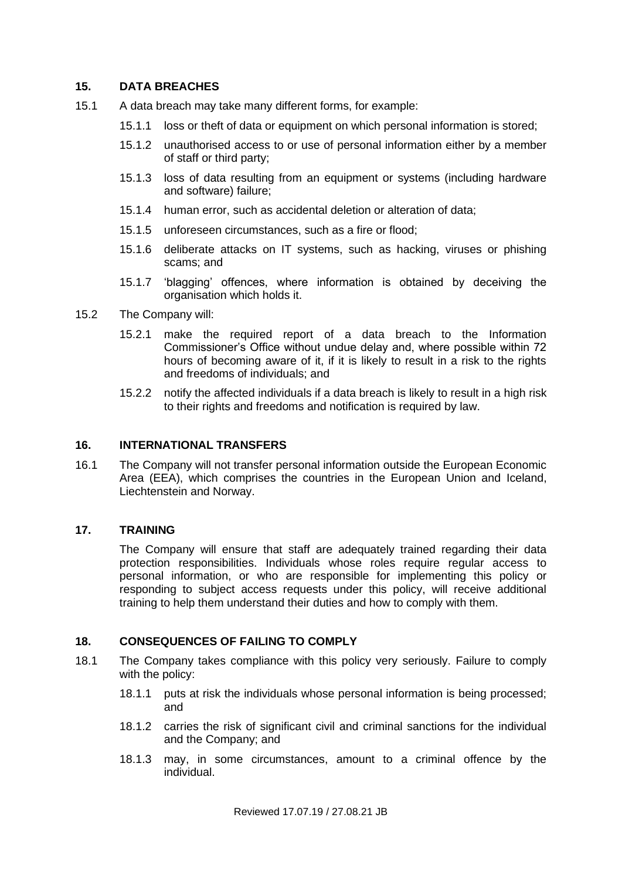### **15. DATA BREACHES**

- <span id="page-10-0"></span>15.1 A data breach may take many different forms, for example:
	- 15.1.1 loss or theft of data or equipment on which personal information is stored;
	- 15.1.2 unauthorised access to or use of personal information either by a member of staff or third party;
	- 15.1.3 loss of data resulting from an equipment or systems (including hardware and software) failure;
	- 15.1.4 human error, such as accidental deletion or alteration of data;
	- 15.1.5 unforeseen circumstances, such as a fire or flood;
	- 15.1.6 deliberate attacks on IT systems, such as hacking, viruses or phishing scams; and
	- 15.1.7 'blagging' offences, where information is obtained by deceiving the organisation which holds it.
- 15.2 The Company will:
	- 15.2.1 make the required report of a data breach to the Information Commissioner's Office without undue delay and, where possible within 72 hours of becoming aware of it, if it is likely to result in a risk to the rights and freedoms of individuals; and
	- 15.2.2 notify the affected individuals if a data breach is likely to result in a high risk to their rights and freedoms and notification is required by law.

### **16. INTERNATIONAL TRANSFERS**

16.1 The Company will not transfer personal information outside the European Economic Area (EEA), which comprises the countries in the European Union and Iceland, Liechtenstein and Norway.

## **17. TRAINING**

The Company will ensure that staff are adequately trained regarding their data protection responsibilities. Individuals whose roles require regular access to personal information, or who are responsible for implementing this policy or responding to subject access requests under this policy, will receive additional training to help them understand their duties and how to comply with them.

## **18. CONSEQUENCES OF FAILING TO COMPLY**

- 18.1 The Company takes compliance with this policy very seriously. Failure to comply with the policy:
	- 18.1.1 puts at risk the individuals whose personal information is being processed; and
	- 18.1.2 carries the risk of significant civil and criminal sanctions for the individual and the Company; and
	- 18.1.3 may, in some circumstances, amount to a criminal offence by the individual.